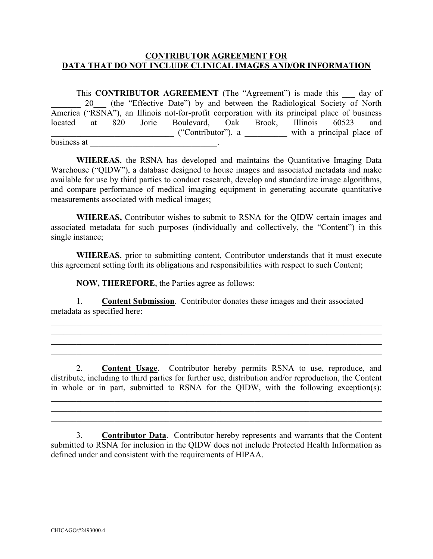## **CONTRIBUTOR AGREEMENT FOR DATA THAT DO NOT INCLUDE CLINICAL IMAGES AND/OR INFORMATION**

This **CONTRIBUTOR AGREEMENT** (The "Agreement") is made this day of 20 (the "Effective Date") by and between the Radiological Society of North America ("RSNA"), an Illinois not-for-profit corporation with its principal place of business located at 820 Jorie Boulevard, Oak Brook, Illinois 60523 and \_\_\_\_\_\_\_\_\_\_\_\_\_\_\_\_\_\_\_\_\_\_\_\_\_\_\_\_\_ ("Contributor"), a \_\_\_\_\_\_\_\_\_\_ with a principal place of business at \_\_\_\_\_\_\_\_\_\_\_\_\_\_\_\_\_\_\_\_\_\_\_\_\_\_\_\_\_\_\_.

**WHEREAS**, the RSNA has developed and maintains the Quantitative Imaging Data Warehouse ("QIDW"), a database designed to house images and associated metadata and make available for use by third parties to conduct research, develop and standardize image algorithms, and compare performance of medical imaging equipment in generating accurate quantitative measurements associated with medical images;

**WHEREAS,** Contributor wishes to submit to RSNA for the QIDW certain images and associated metadata for such purposes (individually and collectively, the "Content") in this single instance;

**WHEREAS**, prior to submitting content, Contributor understands that it must execute this agreement setting forth its obligations and responsibilities with respect to such Content;

**NOW, THEREFORE**, the Parties agree as follows:

1. **Content Submission**. Contributor donates these images and their associated metadata as specified here:

\_\_\_\_\_\_\_\_\_\_\_\_\_\_\_\_\_\_\_\_\_\_\_\_\_\_\_\_\_\_\_\_\_\_\_\_\_\_\_\_\_\_\_\_\_\_\_\_\_\_\_\_\_\_\_\_\_\_\_\_\_\_\_\_\_\_\_\_\_\_\_\_\_\_\_\_\_\_ \_\_\_\_\_\_\_\_\_\_\_\_\_\_\_\_\_\_\_\_\_\_\_\_\_\_\_\_\_\_\_\_\_\_\_\_\_\_\_\_\_\_\_\_\_\_\_\_\_\_\_\_\_\_\_\_\_\_\_\_\_\_\_\_\_\_\_\_\_\_\_\_\_\_\_\_\_\_ \_\_\_\_\_\_\_\_\_\_\_\_\_\_\_\_\_\_\_\_\_\_\_\_\_\_\_\_\_\_\_\_\_\_\_\_\_\_\_\_\_\_\_\_\_\_\_\_\_\_\_\_\_\_\_\_\_\_\_\_\_\_\_\_\_\_\_\_\_\_\_\_\_\_\_\_\_\_  $\_$  , and the contribution of the contribution of  $\mathcal{L}_1$  , and  $\mathcal{L}_2$  , and  $\mathcal{L}_3$  , and  $\mathcal{L}_4$  , and  $\mathcal{L}_5$ 

2. **Content Usage**. Contributor hereby permits RSNA to use, reproduce, and distribute, including to third parties for further use, distribution and/or reproduction, the Content in whole or in part, submitted to RSNA for the QIDW, with the following exception(s):

\_\_\_\_\_\_\_\_\_\_\_\_\_\_\_\_\_\_\_\_\_\_\_\_\_\_\_\_\_\_\_\_\_\_\_\_\_\_\_\_\_\_\_\_\_\_\_\_\_\_\_\_\_\_\_\_\_\_\_\_\_\_\_\_\_\_\_\_\_\_\_\_\_\_\_\_\_\_ \_\_\_\_\_\_\_\_\_\_\_\_\_\_\_\_\_\_\_\_\_\_\_\_\_\_\_\_\_\_\_\_\_\_\_\_\_\_\_\_\_\_\_\_\_\_\_\_\_\_\_\_\_\_\_\_\_\_\_\_\_\_\_\_\_\_\_\_\_\_\_\_\_\_\_\_\_\_  $\_$  , and the contribution of the contribution of  $\mathcal{L}_1$  , and  $\mathcal{L}_2$  , and  $\mathcal{L}_3$  , and  $\mathcal{L}_4$  , and  $\mathcal{L}_5$ 

3. **Contributor Data**. Contributor hereby represents and warrants that the Content submitted to RSNA for inclusion in the QIDW does not include Protected Health Information as defined under and consistent with the requirements of HIPAA.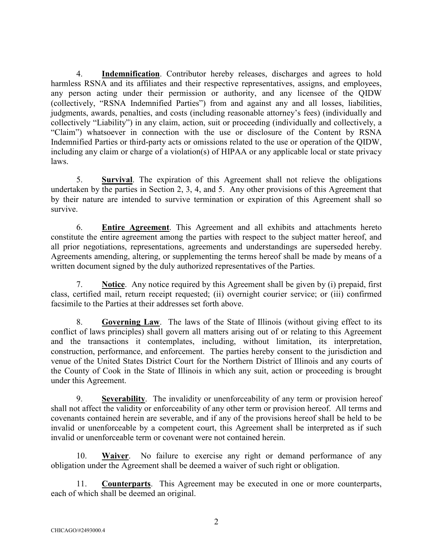4. **Indemnification**. Contributor hereby releases, discharges and agrees to hold harmless RSNA and its affiliates and their respective representatives, assigns, and employees, any person acting under their permission or authority, and any licensee of the QIDW (collectively, "RSNA Indemnified Parties") from and against any and all losses, liabilities, judgments, awards, penalties, and costs (including reasonable attorney's fees) (individually and collectively "Liability") in any claim, action, suit or proceeding (individually and collectively, a "Claim") whatsoever in connection with the use or disclosure of the Content by RSNA Indemnified Parties or third-party acts or omissions related to the use or operation of the QIDW, including any claim or charge of a violation(s) of HIPAA or any applicable local or state privacy laws.

5. **Survival**. The expiration of this Agreement shall not relieve the obligations undertaken by the parties in Section 2, 3, 4, and 5. Any other provisions of this Agreement that by their nature are intended to survive termination or expiration of this Agreement shall so survive.

6. **Entire Agreement**. This Agreement and all exhibits and attachments hereto constitute the entire agreement among the parties with respect to the subject matter hereof, and all prior negotiations, representations, agreements and understandings are superseded hereby. Agreements amending, altering, or supplementing the terms hereof shall be made by means of a written document signed by the duly authorized representatives of the Parties.

7. **Notice**. Any notice required by this Agreement shall be given by (i) prepaid, first class, certified mail, return receipt requested; (ii) overnight courier service; or (iii) confirmed facsimile to the Parties at their addresses set forth above.

8. **Governing Law**. The laws of the State of Illinois (without giving effect to its conflict of laws principles) shall govern all matters arising out of or relating to this Agreement and the transactions it contemplates, including, without limitation, its interpretation, construction, performance, and enforcement. The parties hereby consent to the jurisdiction and venue of the United States District Court for the Northern District of Illinois and any courts of the County of Cook in the State of Illinois in which any suit, action or proceeding is brought under this Agreement.

9. **Severability**. The invalidity or unenforceability of any term or provision hereof shall not affect the validity or enforceability of any other term or provision hereof. All terms and covenants contained herein are severable, and if any of the provisions hereof shall be held to be invalid or unenforceable by a competent court, this Agreement shall be interpreted as if such invalid or unenforceable term or covenant were not contained herein.

10. **Waiver**. No failure to exercise any right or demand performance of any obligation under the Agreement shall be deemed a waiver of such right or obligation.

11. **Counterparts**. This Agreement may be executed in one or more counterparts, each of which shall be deemed an original.